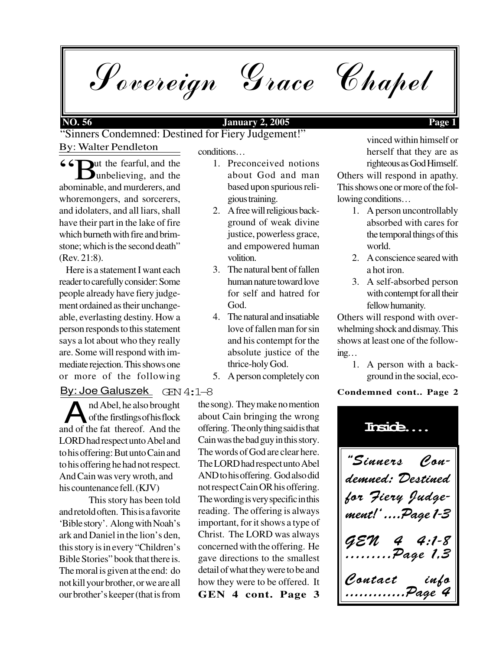Sovereign Grace Chapel

By: Walter Pendleton "Sinners Condemned: Destined for Fiery Judgement!"

**66** Uut the fearful, and the unbelieving, and the unbelieving, and the abominable, and murderers, and whoremongers, and sorcerers, and idolaters, and all liars, shall have their part in the lake of fire which burneth with fire and brimstone; which is the second death" (Rev. 21:8).

 Here is a statement I want each reader to carefully consider: Some people already have fiery judgement ordained as their unchangeable, everlasting destiny. How a person responds to this statement says a lot about who they really are. Some will respond with immediate rejection. This shows one or more of the following

# en<br>By: Joe Galuszek GEN 4:1–8

and Abel, he also brought<br>and of the fat thereof. And the nd Abel, he also brought of the firstlings of his flock LORD had respect unto Abel and to his offering: But unto Cain and to his offering he had not respect. And Cain was very wroth, and his countenance fell. (KJV)

This story has been told and retold often. This is a favorite 'Bible story'. Along with Noah's ark and Daniel in the lion's den, this story is in every "Children's Bible Stories" book that there is. The moral is given at the end: do not kill your brother, or we are all our brother's keeper (that is from

conditions…

- 1. Preconceived notions about God and man based upon spurious religious training.
- 2. A free will religious background of weak divine justice, powerless grace, and empowered human volition.
- 3. The natural bent of fallen human nature toward love for self and hatred for God.
- 4. The natural and insatiable love of fallen man for sin and his contempt for the absolute justice of the thrice-holy God.
- 5. A person completely con

**GEN 4 cont. Page 3** the song). They make no mention about Cain bringing the wrong offering. The only thing said is that Cain was the bad guy in this story. The words of God are clear here. The LORD had respect unto Abel AND to his offering. God also did not respect Cain OR his offering. The wording is very specific in this reading. The offering is always important, for it shows a type of Christ. The LORD was always concerned with the offering. He gave directions to the smallest detail of what they were to be and how they were to be offered. It

vinced within himself or herself that they are as righteous as God Himself. Others will respond in apathy. This shows one or more of the following conditions…

- 1. A person uncontrollably absorbed with cares for the temporal things of this world.
- 2. A conscience seared with a hot iron.
- 3. A self-absorbed person with contempt for all their fellow humanity.

Others will respond with overwhelming shock and dismay. This shows at least one of the following…

1. A person with a background in the social, eco-

## **Condemned cont.. Page 2**

"Sinners Condemned: Destined for Fiery Judgement!' ....Page 1-3  $4:1 - 8$ Page 1,3 Contact info .............Page 4 **Inside....**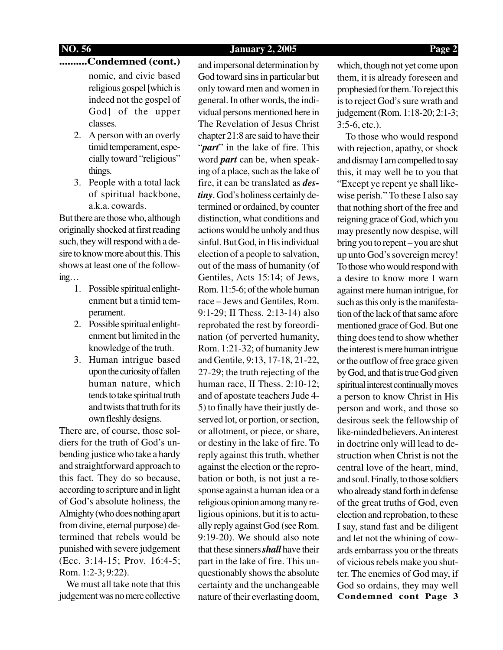## **..........Condemned (cont.)**

nomic, and civic based religious gospel [which is indeed not the gospel of God] of the upper classes.

- 2. A person with an overly timid temperament, especially toward "religious" things.
- 3. People with a total lack of spiritual backbone, a.k.a. cowards.

But there are those who, although originally shocked at first reading such, they will respond with a desire to know more about this. This shows at least one of the following…

- 1. Possible spiritual enlightenment but a timid temperament.
- 2. Possible spiritual enlightenment but limited in the knowledge of the truth.
- 3. Human intrigue based upon the curiosity of fallen human nature, which tends to take spiritual truth and twists that truth for its own fleshly designs.

There are, of course, those soldiers for the truth of God's unbending justice who take a hardy and straightforward approach to this fact. They do so because, according to scripture and in light of God's absolute holiness, the Almighty (who does nothing apart from divine, eternal purpose) determined that rebels would be punished with severe judgement (Ecc. 3:14-15; Prov. 16:4-5; Rom. 1:2-3; 9:22).

 We must all take note that this judgement was no mere collective and impersonal determination by God toward sins in particular but only toward men and women in general. In other words, the individual persons mentioned here in The Revelation of Jesus Christ chapter 21:8 are said to have their "*part*" in the lake of fire. This word *part* can be, when speaking of a place, such as the lake of fire, it can be translated as *destiny*. God's holiness certainly determined or ordained, by counter distinction, what conditions and actions would be unholy and thus sinful. But God, in His individual election of a people to salvation, out of the mass of humanity (of Gentiles, Acts 15:14; of Jews, Rom. 11:5-6; of the whole human race – Jews and Gentiles, Rom. 9:1-29; II Thess. 2:13-14) also reprobated the rest by foreordination (of perverted humanity, Rom. 1:21-32; of humanity Jew and Gentile, 9:13, 17-18, 21-22, 27-29; the truth rejecting of the human race, II Thess. 2:10-12; and of apostate teachers Jude 4- 5) to finally have their justly deserved lot, or portion, or section, or allotment, or piece, or share, or destiny in the lake of fire. To reply against this truth, whether against the election or the reprobation or both, is not just a response against a human idea or a religious opinion among many religious opinions, but it is to actually reply against God (see Rom. 9:19-20). We should also note that these sinners *shall* have their part in the lake of fire. This unquestionably shows the absolute certainty and the unchangeable nature of their everlasting doom, which, though not yet come upon them, it is already foreseen and prophesied for them. To reject this is to reject God's sure wrath and judgement (Rom. 1:18-20; 2:1-3; 3:5-6, etc.).

**Condemned cont Page 3** To those who would respond with rejection, apathy, or shock and dismay I am compelled to say this, it may well be to you that "Except ye repent ye shall likewise perish." To these I also say that nothing short of the free and reigning grace of God, which you may presently now despise, will bring you to repent – you are shut up unto God's sovereign mercy! To those who would respond with a desire to know more I warn against mere human intrigue, for such as this only is the manifestation of the lack of that same afore mentioned grace of God. But one thing does tend to show whether the interest is mere human intrigue or the outflow of free grace given by God, and that is true God given spiritual interest continually moves a person to know Christ in His person and work, and those so desirous seek the fellowship of like-minded believers. An interest in doctrine only will lead to destruction when Christ is not the central love of the heart, mind, and soul. Finally, to those soldiers who already stand forth in defense of the great truths of God, even election and reprobation, to these I say, stand fast and be diligent and let not the whining of cowards embarrass you or the threats of vicious rebels make you shutter. The enemies of God may, if God so ordains, they may well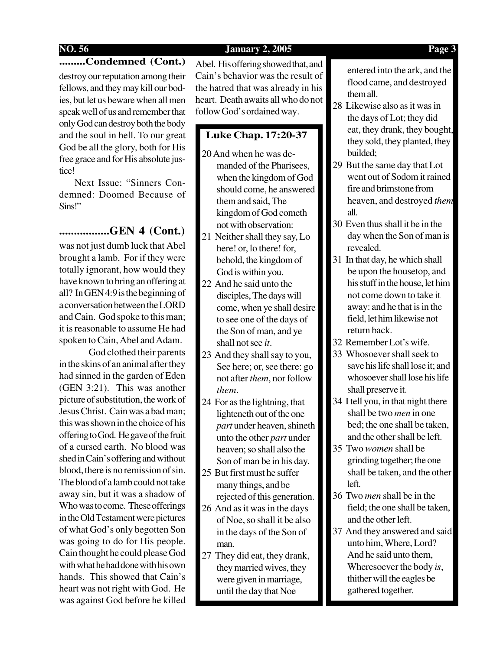**.........Condemned (Cont.)**

destroy our reputation among their fellows, and they may kill our bodies, but let us beware when all men speak well of us and remember that only God can destroy both the body and the soul in hell. To our great God be all the glory, both for His free grace and for His absolute justice!

 Next Issue: "Sinners Condemned: Doomed Because of Sins!"

## **.................GEN 4 (Cont.)**

was not just dumb luck that Abel brought a lamb. For if they were totally ignorant, how would they have known to bring an offering at all? In GEN 4:9 is the beginning of a conversation between the LORD and Cain. God spoke to this man; it is reasonable to assume He had spoken to Cain, Abel and Adam.

God clothed their parents in the skins of an animal after they had sinned in the garden of Eden (GEN 3:21). This was another picture of substitution, the work of Jesus Christ. Cain was a bad man; this was shown in the choice of his offering to God. He gave of the fruit of a cursed earth. No blood was shed in Cain's offering and without blood, there is no remission of sin. The blood of a lamb could not take away sin, but it was a shadow of Who was to come. These offerings in the Old Testament were pictures of what God's only begotten Son was going to do for His people. Cain thought he could please God with what he had done with his own hands. This showed that Cain's heart was not right with God. He was against God before he killed

Abel. His offering showed that, and Cain's behavior was the result of the hatred that was already in his heart. Death awaits all who do not follow God's ordained way.

## **Luke Chap. 17:20-37**

- 20 And when he was demanded of the Pharisees, when the kingdom of God should come, he answered them and said, The kingdom of God cometh not with observation:
- 21 Neither shall they say, Lo here! or, lo there! for, behold, the kingdom of God is within you.
- 22 And he said unto the disciples, The days will come, when ye shall desire to see one of the days of the Son of man, and ye shall not see *it*.
- 23 And they shall say to you, See here; or, see there: go not after *them*, nor follow *them*.
- 24 For as the lightning, that lighteneth out of the one *part* under heaven, shineth unto the other *part* under heaven; so shall also the Son of man be in his day.
- 25 But first must he suffer many things, and be rejected of this generation.
- 26 And as it was in the days of Noe, so shall it be also in the days of the Son of man.
- 27 They did eat, they drank, they married wives, they were given in marriage, until the day that Noe

entered into the ark, and the flood came, and destroyed them all.

- 28 Likewise also as it was in the days of Lot; they did eat, they drank, they bought, they sold, they planted, they builded;
- 29 But the same day that Lot went out of Sodom it rained fire and brimstone from heaven, and destroyed *them* all.
- 30 Even thus shall it be in the day when the Son of man is revealed.
- 31 In that day, he which shall be upon the housetop, and his stuff in the house, let him not come down to take it away: and he that is in the field, let him likewise not return back.
- 32 Remember Lot's wife.
- 33 Whosoever shall seek to save his life shall lose it; and whosoever shall lose his life shall preserve it.
- 34 I tell you, in that night there shall be two *men* in one bed; the one shall be taken, and the other shall be left.
- 35 Two *women* shall be grinding together; the one shall be taken, and the other left.
- 36 Two *men* shall be in the field; the one shall be taken, and the other left.
- 37 And they answered and said unto him, Where, Lord? And he said unto them, Wheresoever the body *is*, thither will the eagles be gathered together.